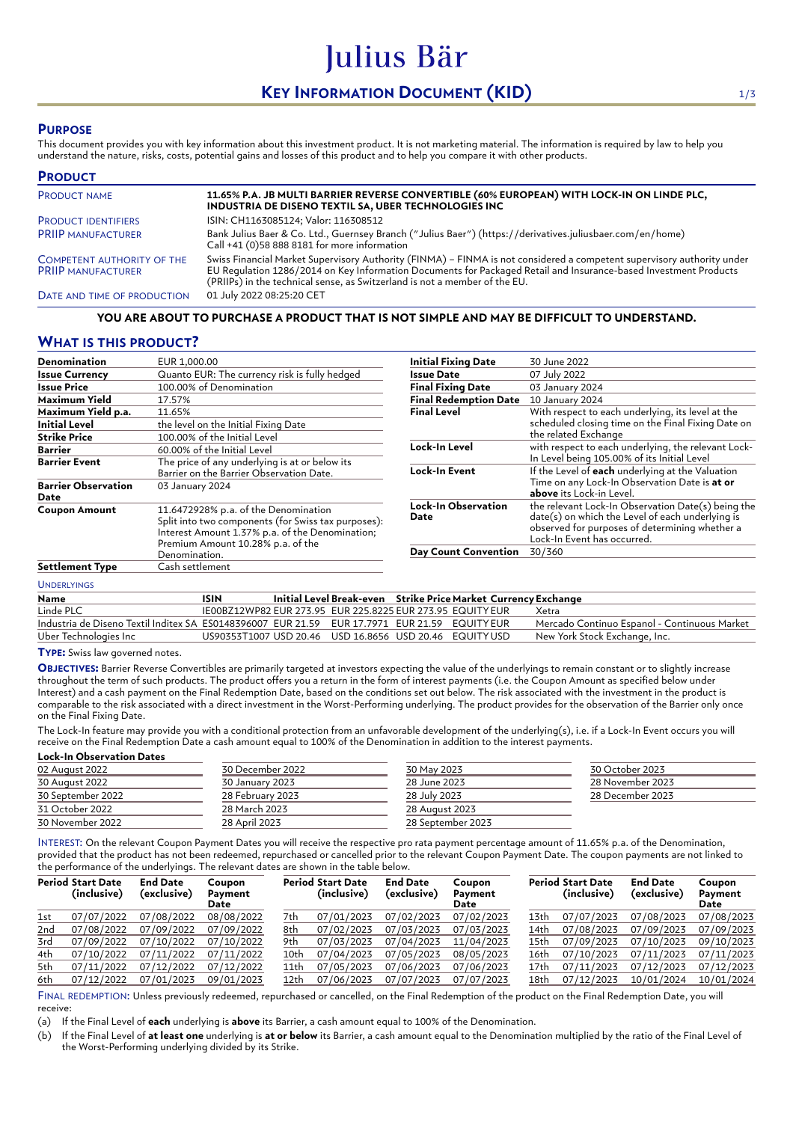# **KEY INFORMATION DOCUMENT (KID)** 1/3

Julius Bär

## **PURPOSE**

This document provides you with key information about this investment product. It is not marketing material. The information is required by law to help you understand the nature, risks, costs, potential gains and losses of this product and to help you compare it with other products.

| <b>PRODUCT</b>                                          |                                                                                                                                                                                                                                                                                                                          |
|---------------------------------------------------------|--------------------------------------------------------------------------------------------------------------------------------------------------------------------------------------------------------------------------------------------------------------------------------------------------------------------------|
| <b>PRODUCT NAME</b>                                     | 11.65% P.A. JB MULTI BARRIER REVERSE CONVERTIBLE (60% EUROPEAN) WITH LOCK-IN ON LINDE PLC,<br>INDUSTRIA DE DISENO TEXTIL SA, UBER TECHNOLOGIES INC                                                                                                                                                                       |
| <b>PRODUCT IDENTIFIERS</b>                              | ISIN: CH1163085124; Valor: 116308512                                                                                                                                                                                                                                                                                     |
| <b>PRIIP MANUFACTURER</b>                               | Bank Julius Baer & Co. Ltd., Guernsey Branch ("Julius Baer") (https://derivatives.juliusbaer.com/en/home)<br>Call +41 (0)58 888 8181 for more information                                                                                                                                                                |
| COMPETENT AUTHORITY OF THE<br><b>PRIIP MANUFACTURER</b> | Swiss Financial Market Supervisory Authority (FINMA) - FINMA is not considered a competent supervisory authority under<br>EU Regulation 1286/2014 on Key Information Documents for Packaged Retail and Insurance-based Investment Products<br>(PRIIPs) in the technical sense, as Switzerland is not a member of the EU. |
| DATE AND TIME OF PRODUCTION                             | 01 July 2022 08:25:20 CET                                                                                                                                                                                                                                                                                                |

### **YOU ARE ABOUT TO PURCHASE A PRODUCT THAT IS NOT SIMPLE AND MAY BE DIFFICULT TO UNDERSTAND.**

# **WHAT IS THIS PRODUCT?**

| <b>Denomination</b>                | EUR 1,000.00                                                                                                                                                                        | <b>Initial Fixing Date</b>         | 30 June 2022                                                                                                                                                                            |
|------------------------------------|-------------------------------------------------------------------------------------------------------------------------------------------------------------------------------------|------------------------------------|-----------------------------------------------------------------------------------------------------------------------------------------------------------------------------------------|
| <b>Issue Currency</b>              | Quanto EUR: The currency risk is fully hedged                                                                                                                                       | Issue Date                         | 07 July 2022                                                                                                                                                                            |
| <b>Issue Price</b>                 | 100.00% of Denomination                                                                                                                                                             | <b>Final Fixing Date</b>           | 03 January 2024                                                                                                                                                                         |
| Maximum Yield                      | 17.57%                                                                                                                                                                              | <b>Final Redemption Date</b>       | 10 January 2024                                                                                                                                                                         |
| Maximum Yield p.a.                 | 11.65%                                                                                                                                                                              | <b>Final Level</b>                 | With respect to each underlying, its level at the                                                                                                                                       |
| <b>Initial Level</b>               | the level on the Initial Fixing Date                                                                                                                                                |                                    | scheduled closing time on the Final Fixing Date on                                                                                                                                      |
| <b>Strike Price</b>                | 100.00% of the Initial Level                                                                                                                                                        |                                    | the related Exchange                                                                                                                                                                    |
| <b>Barrier</b>                     | 60.00% of the Initial Level                                                                                                                                                         | Lock-In Level                      | with respect to each underlying, the relevant Lock-                                                                                                                                     |
| <b>Barrier Event</b>               | The price of any underlying is at or below its                                                                                                                                      |                                    | In Level being 105.00% of its Initial Level                                                                                                                                             |
|                                    | Barrier on the Barrier Observation Date.                                                                                                                                            | Lock-In Event                      | If the Level of each underlying at the Valuation                                                                                                                                        |
| <b>Barrier Observation</b><br>Date | 03 January 2024                                                                                                                                                                     |                                    | Time on any Lock-In Observation Date is at or<br>above its Lock-in Level.                                                                                                               |
| <b>Coupon Amount</b>               | 11.6472928% p.a. of the Denomination<br>Split into two components (for Swiss tax purposes):<br>Interest Amount 1.37% p.a. of the Denomination;<br>Premium Amount 10.28% p.a. of the | <b>Lock-In Observation</b><br>Date | the relevant Lock-In Observation Date(s) being the<br>date(s) on which the Level of each underlying is<br>observed for purposes of determining whether a<br>Lock-In Event has occurred. |
|                                    | Denomination.                                                                                                                                                                       | <b>Day Count Convention</b>        | 30/360                                                                                                                                                                                  |
| <b>Settlement Type</b>             | Cash settlement                                                                                                                                                                     |                                    |                                                                                                                                                                                         |

### UNDERLYINGS

| Name                                                                                         | ISIN                                                       |  | Initial Level Break-even Strike Price Market Currency Exchange |                                              |
|----------------------------------------------------------------------------------------------|------------------------------------------------------------|--|----------------------------------------------------------------|----------------------------------------------|
| Linde PLC                                                                                    | IE00BZ12WP82 EUR 273.95 EUR 225.8225 EUR 273.95 EQUITY EUR |  |                                                                | Xetra                                        |
| Industria de Diseno Textil Inditex SA ES0148396007 EUR 21.59 EUR 17.7971 EUR 21.59 EQUITYEUR |                                                            |  |                                                                | Mercado Continuo Espanol - Continuous Market |
| Uber Technologies Inc                                                                        | US90353T1007 USD 20.46 USD 16.8656 USD 20.46 EQUITYUSD     |  |                                                                | New York Stock Exchange, Inc.                |

**TYPE:** Swiss law governed notes.

**OBJECTIVES:** Barrier Reverse Convertibles are primarily targeted at investors expecting the value of the underlyings to remain constant or to slightly increase throughout the term of such products. The product offers you a return in the form of interest payments (i.e. the Coupon Amount as specified below under Interest) and a cash payment on the Final Redemption Date, based on the conditions set out below. The risk associated with the investment in the product is comparable to the risk associated with a direct investment in the Worst-Performing underlying. The product provides for the observation of the Barrier only once on the Final Fixing Date.

The Lock-In feature may provide you with a conditional protection from an unfavorable development of the underlying(s), i.e. if a Lock-In Event occurs you will receive on the Final Redemption Date a cash amount equal to 100% of the Denomination in addition to the interest payments. **Lock-In Observation Dates**

| 30 December 2022 | 30 May 2023       | 30 October 2023  |  |
|------------------|-------------------|------------------|--|
| 30 January 2023  | 28 June 2023      | 28 November 2023 |  |
| 28 February 2023 | 28 July 2023      | 28 December 2023 |  |
| 28 March 2023    | 28 August 2023    |                  |  |
| 28 April 2023    | 28 September 2023 |                  |  |
|                  |                   |                  |  |

INTEREST: On the relevant Coupon Payment Dates you will receive the respective pro rata payment percentage amount of 11.65% p.a. of the Denomination, provided that the product has not been redeemed, repurchased or cancelled prior to the relevant Coupon Payment Date. The coupon payments are not linked to the performance of the underlyings. The relevant dates are shown in the table below.

|     | <b>Period Start Date</b><br>(inclusive) | <b>End Date</b><br>(exclusive) | Coupon<br>Payment<br>Date |      | <b>Period Start Date</b><br>(inclusive) | <b>End Date</b><br>(exclusive) | Coupon<br>Payment<br>Date |      | <b>Period Start Date</b><br>(inclusive) | <b>End Date</b><br>(exclusive) | Coupon<br>Payment<br>Date |
|-----|-----------------------------------------|--------------------------------|---------------------------|------|-----------------------------------------|--------------------------------|---------------------------|------|-----------------------------------------|--------------------------------|---------------------------|
| 1st | 07/07/2022                              | 07/08/2022                     | 08/08/2022                | 7th  | 07/01/2023                              | 07/02/2023                     | 07/02/2023                | 13th | 07/07/2023                              | 07/08/2023                     | 07/08/2023                |
| 2nd | 07/08/2022                              | 07/09/2022                     | 07/09/2022                | 8th  | 07/02/2023                              | 07/03/2023                     | 07/03/2023                | 14th | 07/08/2023                              | 07/09/2023                     | 07/09/2023                |
| 3rd | 07/09/2022                              | 07/10/2022                     | 07/10/2022                | 9th  | 07/03/2023                              | 07/04/2023                     | 11/04/2023                | 15th | 07/09/2023                              | 07/10/2023                     | 09/10/2023                |
| 4th | 07/10/2022                              | 07/11/2022                     | 07/11/2022                | 10th | 07/04/2023                              | 07/05/2023                     | 08/05/2023                | 16th | 07/10/2023                              | 07/11/2023                     | 07/11/2023                |
| 5th | 07/11/2022                              | 07/12/2022                     | 07/12/2022                | 11th | 07/05/2023                              | 07/06/2023                     | 07/06/2023                | 17th | 07/11/2023                              | 07/12/2023                     | 07/12/2023                |
| 6th | 07/12/2022                              | 07/01/2023                     | 09/01/2023                | 12th | 07/06/2023                              | 07/07/2023                     | 07/07/2023                | 18th | 07/12/2023                              | 10/01/2024                     | 10/01/2024                |

FINAL REDEMPTION: Unless previously redeemed, repurchased or cancelled, on the Final Redemption of the product on the Final Redemption Date, you will receive:

(a) If the Final Level of **each** underlying is **above** its Barrier, a cash amount equal to 100% of the Denomination.

(b) If the Final Level of **at least one** underlying is **at or below** its Barrier, a cash amount equal to the Denomination multiplied by the ratio of the Final Level of the Worst-Performing underlying divided by its Strike.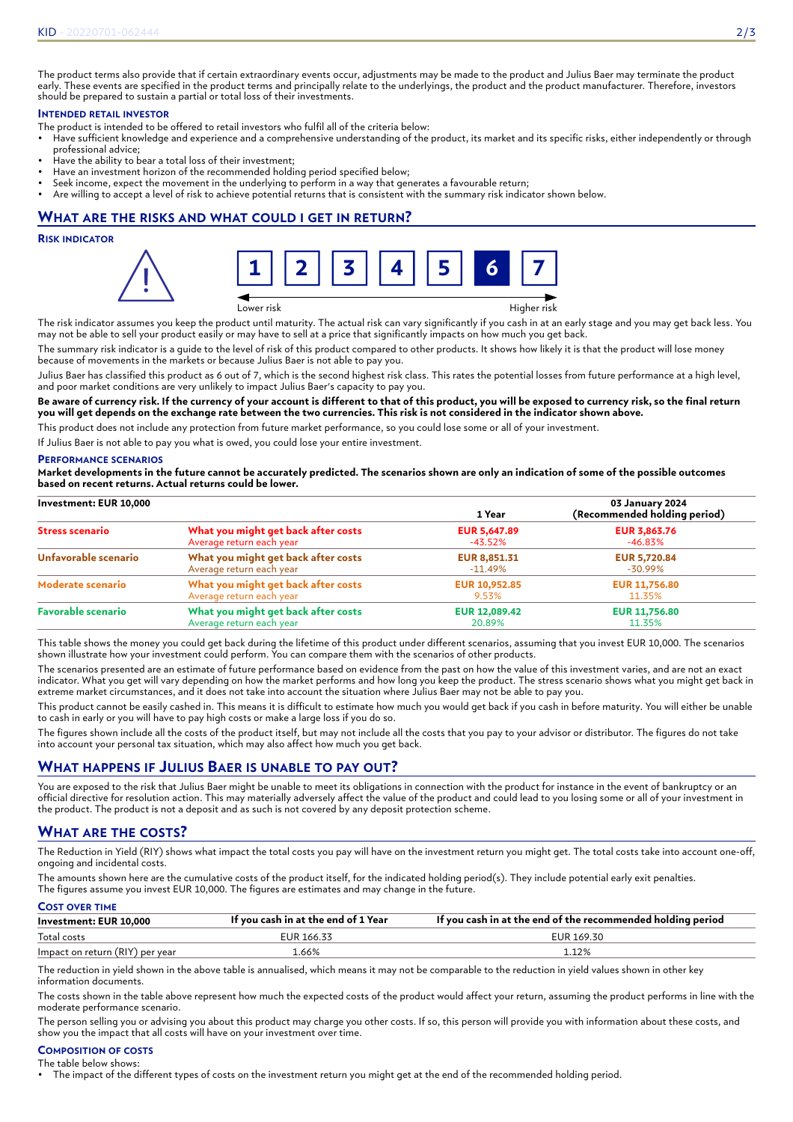The product terms also provide that if certain extraordinary events occur, adjustments may be made to the product and Julius Baer may terminate the product early. These events are specified in the product terms and principally relate to the underlyings, the product and the product manufacturer. Therefore, investors should be prepared to sustain a partial or total loss of their investments.

# **INTENDED RETAIL INVESTOR**

- The product is intended to be offered to retail investors who fulfil all of the criteria below:
- Have sufficient knowledge and experience and a comprehensive understanding of the product, its market and its specific risks, either independently or through professional advice;
- Have the ability to bear a total loss of their investment;
- Have an investment horizon of the recommended holding period specified below;
- Seek income, expect the movement in the underlying to perform in a way that generates a favourable return;
- Are willing to accept a level of risk to achieve potential returns that is consistent with the summary risk indicator shown below.

# **WHAT ARE THE RISKS AND WHAT COULD I GET IN RETURN?**

### **RISK INDICATOR**



Lower risk Higher risk

The risk indicator assumes you keep the product until maturity. The actual risk can vary significantly if you cash in at an early stage and you may get back less. You may not be able to sell your product easily or may have to sell at a price that significantly impacts on how much you get back.

The summary risk indicator is a guide to the level of risk of this product compared to other products. It shows how likely it is that the product will lose money because of movements in the markets or because Julius Baer is not able to pay you.

Julius Baer has classified this product as 6 out of 7, which is the second highest risk class. This rates the potential losses from future performance at a high level, and poor market conditions are very unlikely to impact Julius Baer's capacity to pay you.

**Be aware of currency risk. If the currency of your account is different to that of this product, you will be exposed to currency risk, so the final return you will get depends on the exchange rate between the two currencies. This risk is not considered in the indicator shown above.**

This product does not include any protection from future market performance, so you could lose some or all of your investment.

If Julius Baer is not able to pay you what is owed, you could lose your entire investment.

### **PERFORMANCE SCENARIOS**

**Market developments in the future cannot be accurately predicted. The scenarios shown are only an indication of some of the possible outcomes based on recent returns. Actual returns could be lower.**

| Investment: EUR 10,000    |                                     | 1 Year               | 03 January 2024<br>(Recommended holding period) |
|---------------------------|-------------------------------------|----------------------|-------------------------------------------------|
| <b>Stress scenario</b>    | What you might get back after costs | <b>EUR 5,647.89</b>  | <b>EUR 3,863.76</b>                             |
|                           | Average return each year            | -43.52%              | -46.83%                                         |
| Unfavorable scenario      | What you might get back after costs | <b>EUR 8,851.31</b>  | <b>EUR 5,720.84</b>                             |
|                           | Average return each year            | -11.49%              | -30.99%                                         |
| Moderate scenario         | What you might get back after costs | <b>EUR 10,952.85</b> | <b>EUR 11,756.80</b>                            |
|                           | Average return each year            | 9.53%                | 11.35%                                          |
| <b>Favorable scenario</b> | What you might get back after costs | <b>EUR 12,089.42</b> | <b>EUR 11,756.80</b>                            |
|                           | Average return each year            | 20.89%               | 11.35%                                          |

This table shows the money you could get back during the lifetime of this product under different scenarios, assuming that you invest EUR 10,000. The scenarios shown illustrate how your investment could perform. You can compare them with the scenarios of other products.

The scenarios presented are an estimate of future performance based on evidence from the past on how the value of this investment varies, and are not an exact indicator. What you get will vary depending on how the market performs and how long you keep the product. The stress scenario shows what you might get back in extreme market circumstances, and it does not take into account the situation where Julius Baer may not be able to pay you.

This product cannot be easily cashed in. This means it is difficult to estimate how much you would get back if you cash in before maturity. You will either be unable to cash in early or you will have to pay high costs or make a large loss if you do so.

The figures shown include all the costs of the product itself, but may not include all the costs that you pay to your advisor or distributor. The figures do not take into account your personal tax situation, which may also affect how much you get back.

# **WHAT HAPPENS IF JULIUS BAER IS UNABLE TO PAY OUT?**

You are exposed to the risk that Julius Baer might be unable to meet its obligations in connection with the product for instance in the event of bankruptcy or an official directive for resolution action. This may materially adversely affect the value of the product and could lead to you losing some or all of your investment in the product. The product is not a deposit and as such is not covered by any deposit protection scheme.

# **WHAT ARE THE COSTS?**

The Reduction in Yield (RIY) shows what impact the total costs you pay will have on the investment return you might get. The total costs take into account one-off, ongoing and incidental costs.

The amounts shown here are the cumulative costs of the product itself, for the indicated holding period(s). They include potential early exit penalties. The figures assume you invest EUR 10,000. The figures are estimates and may change in the future.

### **COST OVER TIME**

| Investment: EUR 10.000          | If you cash in at the end of 1 Year | If you cash in at the end of the recommended holding period |
|---------------------------------|-------------------------------------|-------------------------------------------------------------|
| Total costs                     | EUR 166.33                          | EUR 169.30                                                  |
| Impact on return (RIY) per year | 1.66%                               | 1.12%                                                       |

The reduction in yield shown in the above table is annualised, which means it may not be comparable to the reduction in yield values shown in other key information documents.

The costs shown in the table above represent how much the expected costs of the product would affect your return, assuming the product performs in line with the moderate performance scenario.

The person selling you or advising you about this product may charge you other costs. If so, this person will provide you with information about these costs, and show you the impact that all costs will have on your investment over time.

#### **COMPOSITION OF COSTS** The table below shows:

• The impact of the different types of costs on the investment return you might get at the end of the recommended holding period.